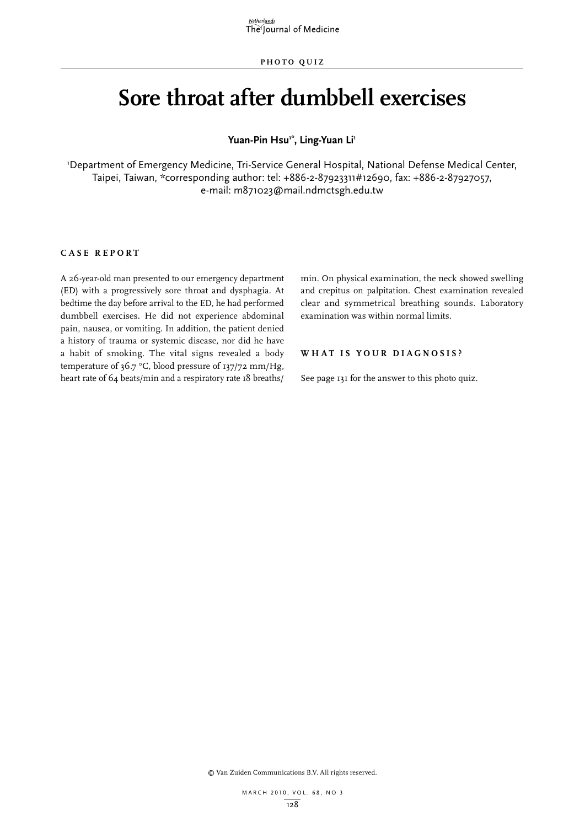Netherlands The Journal of Medicine

**PHOTO QUIZ** 

# **Sore throat after dumbbell exercises**

Yuan-Pin Hsu<sup>1\*</sup>, Ling-Yuan Li<sup>1</sup>

1 Department of Emergency Medicine, Tri-Service General Hospital, National Defense Medical Center, Taipei, Taiwan, \*corresponding author: tel: +886-2-87923311#12690, fax: +886-2-87927057, e-mail: m871023@mail.ndmctsgh.edu.tw

### **C a s e r e p o r t**

A 26-year-old man presented to our emergency department (ED) with a progressively sore throat and dysphagia. At bedtime the day before arrival to the ED, he had performed dumbbell exercises. He did not experience abdominal pain, nausea, or vomiting. In addition, the patient denied a history of trauma or systemic disease, nor did he have a habit of smoking. The vital signs revealed a body temperature of  $36.7$  °C, blood pressure of  $137/72$  mm/Hg, heart rate of 64 beats/min and a respiratory rate 18 breaths/

min. On physical examination, the neck showed swelling and crepitus on palpitation. Chest examination revealed clear and symmetrical breathing sounds. Laboratory examination was within normal limits.

### **WHAT IS YOUR DIAGNOSIS ?**

See page 131 for the answer to this photo quiz.

© Van Zuiden Communications B.V. All rights reserved.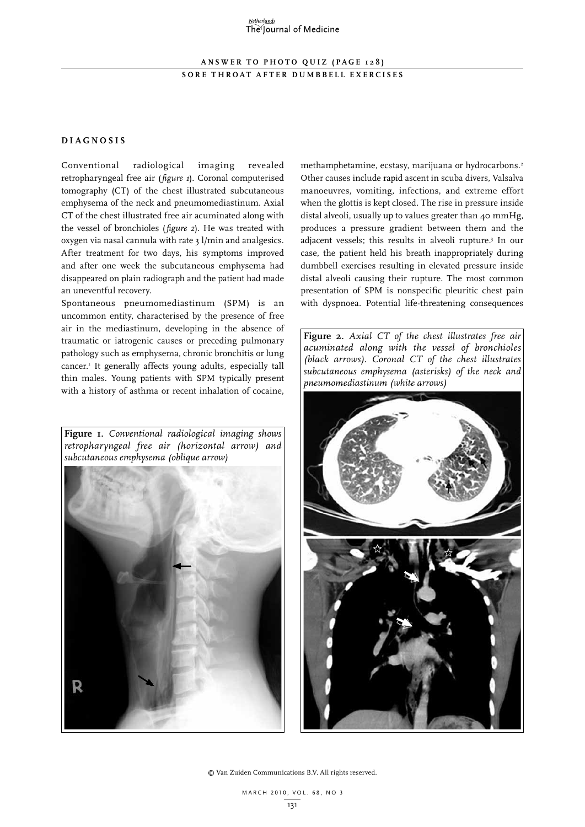## The Journal of Medicine

### **A n s w e r t o P h o t o q u i z ( pa g e 1 2 8 ) SORE THROAT AFTER DUMBBELL EXERCISES**

#### **D i a g n o s i s**

Conventional radiological imaging revealed retropharyngeal free air (*figure 1*). Coronal computerised tomography (CT) of the chest illustrated subcutaneous emphysema of the neck and pneumomediastinum. Axial CT of the chest illustrated free air acuminated along with the vessel of bronchioles (*figure 2*). He was treated with oxygen via nasal cannula with rate 3 l/min and analgesics. After treatment for two days, his symptoms improved and after one week the subcutaneous emphysema had disappeared on plain radiograph and the patient had made an uneventful recovery.

Spontaneous pneumomediastinum (SPM) is an uncommon entity, characterised by the presence of free air in the mediastinum, developing in the absence of traumatic or iatrogenic causes or preceding pulmonary pathology such as emphysema, chronic bronchitis or lung cancer.1 It generally affects young adults, especially tall thin males. Young patients with SPM typically present with a history of asthma or recent inhalation of cocaine,

**Figure 1.** *Conventional radiological imaging shows retropharyngeal free air (horizontal arrow) and subcutaneous emphysema (oblique arrow)*



methamphetamine, ecstasy, marijuana or hydrocarbons.<sup>2</sup> Other causes include rapid ascent in scuba divers, Valsalva manoeuvres, vomiting, infections, and extreme effort when the glottis is kept closed. The rise in pressure inside distal alveoli, usually up to values greater than 40 mmHg, produces a pressure gradient between them and the adjacent vessels; this results in alveoli rupture.<sup>3</sup> In our case, the patient held his breath inappropriately during dumbbell exercises resulting in elevated pressure inside distal alveoli causing their rupture. The most common presentation of SPM is nonspecific pleuritic chest pain with dyspnoea. Potential life-threatening consequences

**Figure 2.** *Axial CT of the chest illustrates free air acuminated along with the vessel of bronchioles (black arrows). Coronal CT of the chest illustrates subcutaneous emphysema (asterisks) of the neck and pneumomediastinum (white arrows)*



© Van Zuiden Communications B.V. All rights reserved.